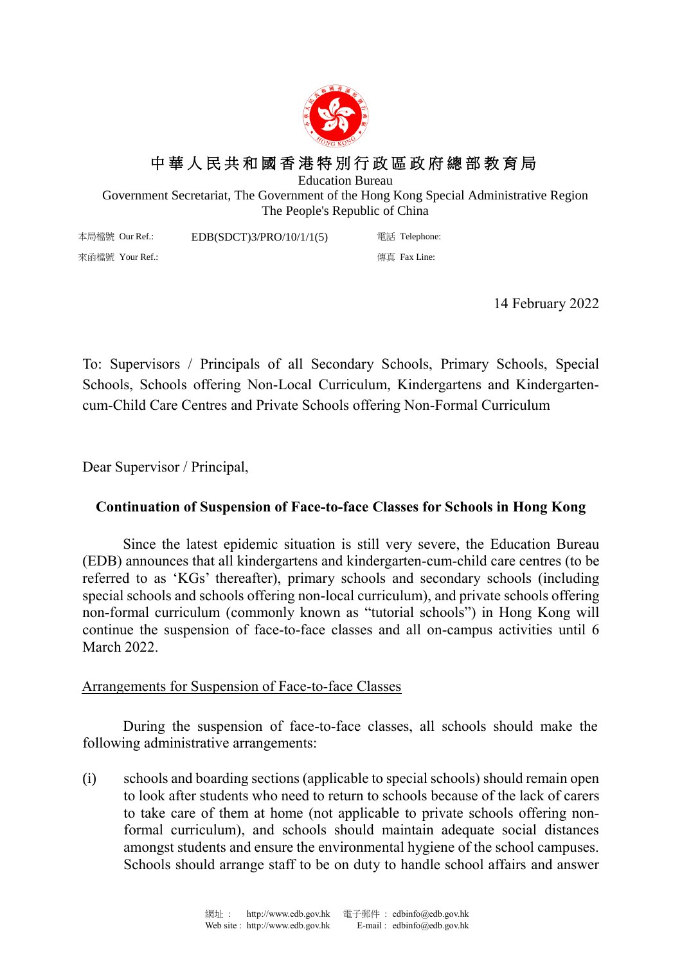

## 中 華 人 民 共 和 國 香 港 特 別 行 政 區 政 府 總 部 教 育 局

Education Bureau

Government Secretariat, The Government of the Hong Kong Special Administrative Region The People's Republic of China

本局檔號 Our Ref.: 來函檔號 Your Ref.: EDB(SDCT)3/PRO/10/1/1(5) 電話 Telephone: 傳真 Fax Line:

14 February 2022

To: Supervisors / Principals of all Secondary Schools, Primary Schools, Special Schools, Schools offering Non-Local Curriculum, Kindergartens and Kindergartencum-Child Care Centres and Private Schools offering Non-Formal Curriculum

Dear Supervisor / Principal,

## **Continuation of Suspension of Face-to-face Classes for Schools in Hong Kong**

Since the latest epidemic situation is still very severe, the Education Bureau (EDB) announces that all kindergartens and kindergarten-cum-child care centres (to be referred to as 'KGs' thereafter), primary schools and secondary schools (including special schools and schools offering non-local curriculum), and private schools offering non-formal curriculum (commonly known as "tutorial schools") in Hong Kong will continue the suspension of face-to-face classes and all on-campus activities until 6 March 2022.

## Arrangements for Suspension of Face-to-face Classes

During the suspension of face-to-face classes, all schools should make the following administrative arrangements:

(i) schools and boarding sections (applicable to special schools) should remain open to look after students who need to return to schools because of the lack of carers to take care of them at home (not applicable to private schools offering nonformal curriculum), and schools should maintain adequate social distances amongst students and ensure the environmental hygiene of the school campuses. Schools should arrange staff to be on duty to handle school affairs and answer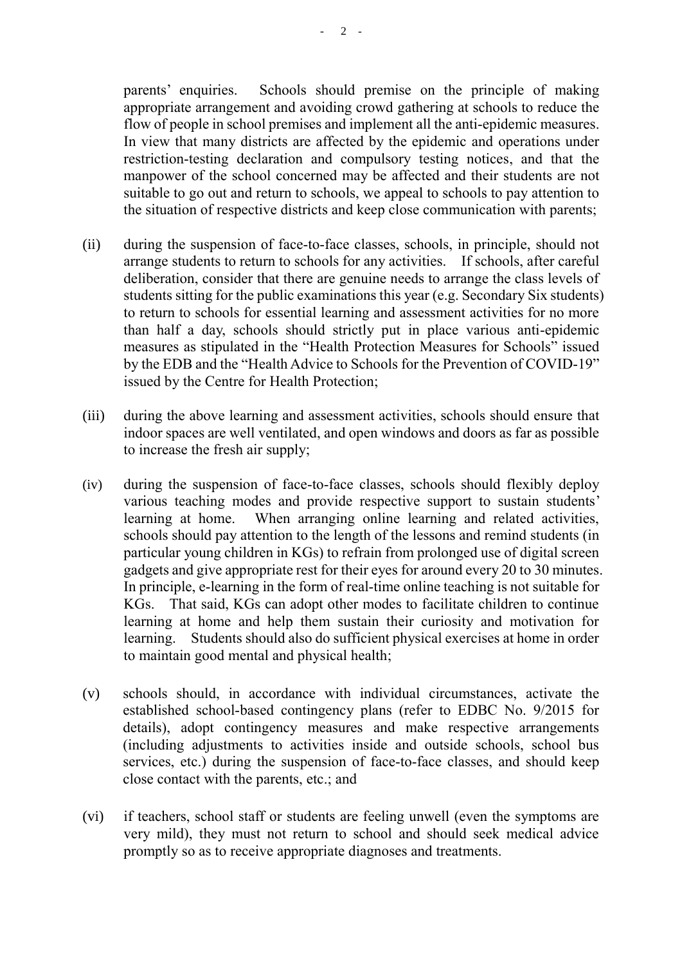parents' enquiries. Schools should premise on the principle of making appropriate arrangement and avoiding crowd gathering at schools to reduce the flow of people in school premises and implement all the anti-epidemic measures. In view that many districts are affected by the epidemic and operations under restriction-testing declaration and compulsory testing notices, and that the manpower of the school concerned may be affected and their students are not suitable to go out and return to schools, we appeal to schools to pay attention to the situation of respective districts and keep close communication with parents;

- (ii) during the suspension of face-to-face classes, schools, in principle, should not arrange students to return to schools for any activities. If schools, after careful deliberation, consider that there are genuine needs to arrange the class levels of students sitting for the public examinations this year (e.g. Secondary Six students) to return to schools for essential learning and assessment activities for no more than half a day, schools should strictly put in place various anti-epidemic measures as stipulated in the "Health Protection Measures for Schools" issued by the EDB and the "Health Advice to Schools for the Prevention of COVID-19" issued by the Centre for Health Protection;
- (iii) during the above learning and assessment activities, schools should ensure that indoor spaces are well ventilated, and open windows and doors as far as possible to increase the fresh air supply;
- (iv) during the suspension of face-to-face classes, schools should flexibly deploy various teaching modes and provide respective support to sustain students' learning at home. When arranging online learning and related activities, schools should pay attention to the length of the lessons and remind students (in particular young children in KGs) to refrain from prolonged use of digital screen gadgets and give appropriate rest for their eyes for around every 20 to 30 minutes. In principle, e-learning in the form of real-time online teaching is not suitable for KGs. That said, KGs can adopt other modes to facilitate children to continue learning at home and help them sustain their curiosity and motivation for learning. Students should also do sufficient physical exercises at home in order to maintain good mental and physical health;
- (v) schools should, in accordance with individual circumstances, activate the established school-based contingency plans (refer to EDBC No. 9/2015 for details), adopt contingency measures and make respective arrangements (including adjustments to activities inside and outside schools, school bus services, etc.) during the suspension of face-to-face classes, and should keep close contact with the parents, etc.; and
- (vi) if teachers, school staff or students are feeling unwell (even the symptoms are very mild), they must not return to school and should seek medical advice promptly so as to receive appropriate diagnoses and treatments.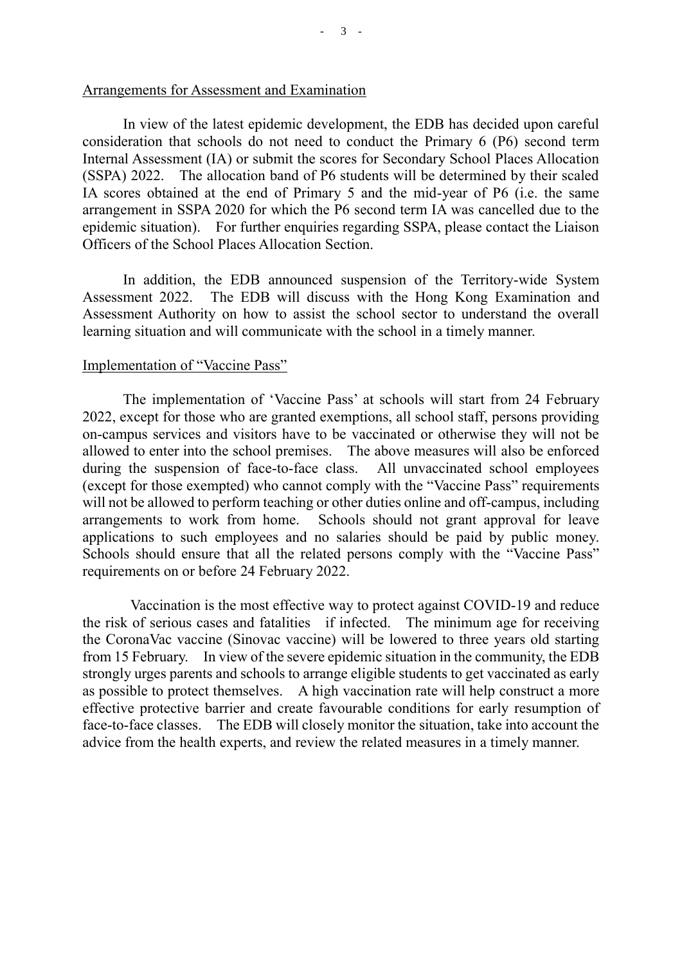In view of the latest epidemic development, the EDB has decided upon careful consideration that schools do not need to conduct the Primary 6 (P6) second term Internal Assessment (IA) or submit the scores for Secondary School Places Allocation (SSPA) 2022. The allocation band of P6 students will be determined by their scaled IA scores obtained at the end of Primary 5 and the mid-year of P6 (i.e. the same arrangement in SSPA 2020 for which the P6 second term IA was cancelled due to the epidemic situation). For further enquiries regarding SSPA, please contact the Liaison Officers of the School Places Allocation Section.

In addition, the EDB announced suspension of the Territory-wide System Assessment 2022. The EDB will discuss with the Hong Kong Examination and Assessment Authority on how to assist the school sector to understand the overall learning situation and will communicate with the school in a timely manner.

## Implementation of "Vaccine Pass"

The implementation of 'Vaccine Pass' at schools will start from 24 February 2022, except for those who are granted exemptions, all school staff, persons providing on-campus services and visitors have to be vaccinated or otherwise they will not be allowed to enter into the school premises. The above measures will also be enforced during the suspension of face-to-face class. All unvaccinated school employees (except for those exempted) who cannot comply with the "Vaccine Pass" requirements will not be allowed to perform teaching or other duties online and off-campus, including arrangements to work from home. Schools should not grant approval for leave applications to such employees and no salaries should be paid by public money. Schools should ensure that all the related persons comply with the "Vaccine Pass" requirements on or before 24 February 2022.

Vaccination is the most effective way to protect against COVID-19 and reduce the risk of serious cases and fatalities if infected. The minimum age for receiving the CoronaVac vaccine (Sinovac vaccine) will be lowered to three years old starting from 15 February. In view of the severe epidemic situation in the community, the EDB strongly urges parents and schools to arrange eligible students to get vaccinated as early as possible to protect themselves. A high vaccination rate will help construct a more effective protective barrier and create favourable conditions for early resumption of face-to-face classes. The EDB will closely monitor the situation, take into account the advice from the health experts, and review the related measures in a timely manner.